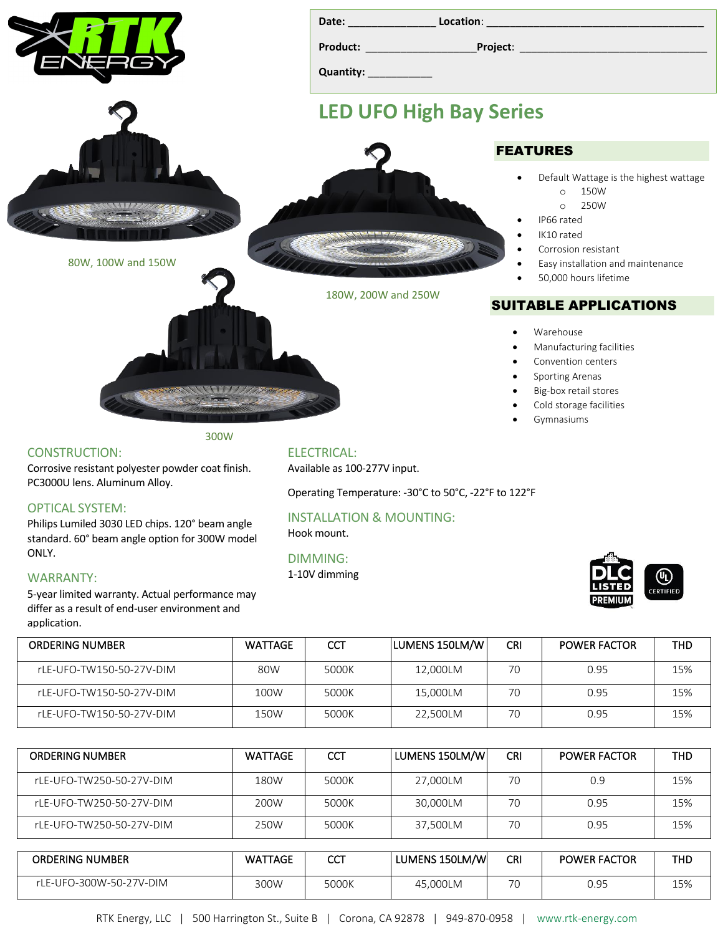|                                                                                                                                                | Quantity: 1997                                       |                                                                                                                                                                                                                         |  |  |  |
|------------------------------------------------------------------------------------------------------------------------------------------------|------------------------------------------------------|-------------------------------------------------------------------------------------------------------------------------------------------------------------------------------------------------------------------------|--|--|--|
|                                                                                                                                                | <b>LED UFO High Bay Series</b>                       |                                                                                                                                                                                                                         |  |  |  |
|                                                                                                                                                |                                                      | <b>FEATURES</b>                                                                                                                                                                                                         |  |  |  |
| 80W, 100W and 150W                                                                                                                             |                                                      | Default Wattage is the highest wattage<br>150W<br>$\circ$<br>250W<br>$\circ$<br>IP66 rated<br>IK10 rated<br>Corrosion resistant<br>Easy installation and maintenance<br>$\bullet$<br>50,000 hours lifetime<br>$\bullet$ |  |  |  |
|                                                                                                                                                | 180W, 200W and 250W                                  | <b>SUITABLE APPLICATIONS</b>                                                                                                                                                                                            |  |  |  |
|                                                                                                                                                |                                                      | Warehouse<br>$\bullet$<br>Manufacturing facilities<br>$\bullet$<br>Convention centers<br>$\bullet$<br>Sporting Arenas<br>$\bullet$<br>Big-box retail stores<br>$\bullet$<br>Cold storage facilities<br>$\bullet$        |  |  |  |
| 300W                                                                                                                                           |                                                      | Gymnasiums                                                                                                                                                                                                              |  |  |  |
| <b>CONSTRUCTION:</b><br>Corrosive resistant polyester powder coat finish.                                                                      | <b>ELECTRICAL:</b><br>Available as 100-277V input.   |                                                                                                                                                                                                                         |  |  |  |
| PC3000U lens. Aluminum Alloy.                                                                                                                  | Operating Temperature: -30°C to 50°C, -22°F to 122°F |                                                                                                                                                                                                                         |  |  |  |
| <b>OPTICAL SYSTEM:</b><br>Philips Lumiled 3030 LED chips. 120° beam angle<br>standard. 60° beam angle option for 300W model                    | <b>INSTALLATION &amp; MOUNTING:</b><br>Hook mount.   |                                                                                                                                                                                                                         |  |  |  |
| ONLY.<br><b>WARRANTY:</b><br>5-year limited warranty. Actual performance may<br>differ as a result of end-user environment and<br>application. | <b>DIMMING:</b><br>1-10V dimming                     | ⊕<br><b>CERTIFIED</b><br><b>PREMIUM</b>                                                                                                                                                                                 |  |  |  |

| <b>ORDERING NUMBER</b>   | <b>WATTAGE</b> | CCT   | LUMENS 150LM/W | <b>CRI</b> | <b>POWER FACTOR</b> | THD |
|--------------------------|----------------|-------|----------------|------------|---------------------|-----|
| rLE-UFO-TW150-50-27V-DIM | 80W            | 5000K | 12,000LM       | 70         | 0.95                | 15% |
| rLE-UFO-TW150-50-27V-DIM | 100W           | 5000K | 15,000LM       | 70         | 0.95                | 15% |
| rLE-UFO-TW150-50-27V-DIM | 150W           | 5000K | 22,500LM       | 70         | 0.95                | 15% |

| <b>ORDERING NUMBER</b>   | <b>WATTAGE</b> | <b>CCT</b> | LUMENS 150LM/W | <b>CRI</b> | <b>POWER FACTOR</b> | <b>THD</b> |
|--------------------------|----------------|------------|----------------|------------|---------------------|------------|
| rLE-UFO-TW250-50-27V-DIM | 180W           | 5000K      | 27,000LM       | 70         | 0.9                 | 15%        |
| rLE-UFO-TW250-50-27V-DIM | 200W           | 5000K      | 30,000LM       | 70         | 0.95                | 15%        |
| rLE-UFO-TW250-50-27V-DIM | 250W           | 5000K      | 37,500LM       | 70         | 0.95                | 15%        |
|                          |                |            |                |            |                     |            |
| <b>ORDERING NUMBER</b>   | <b>WATTAGE</b> | <b>CCT</b> | LUMENS 150LM/W | <b>CRI</b> | <b>POWER FACTOR</b> | <b>THD</b> |
| rLE-UFO-300W-50-27V-DIM  | 300W           | 5000K      | 45,000LM       | 70         | 0.95                | 15%        |